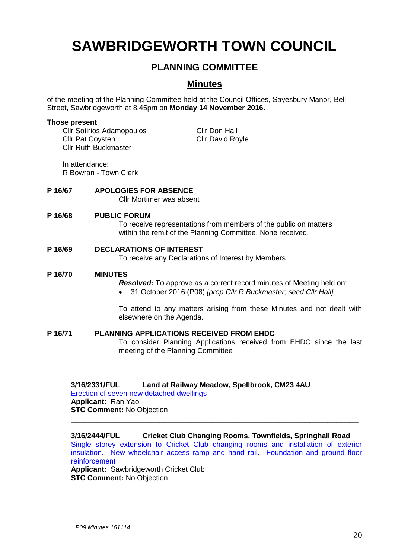# **SAWBRIDGEWORTH TOWN COUNCIL**

# **PLANNING COMMITTEE**

# **Minutes**

of the meeting of the Planning Committee held at the Council Offices, Sayesbury Manor, Bell Street, Sawbridgeworth at 8.45pm on **Monday 14 November 2016.**

#### **Those present**

Cllr Sotirios Adamopoulos Cllr Don Hall **Cllr Pat Coysten Cllr David Royle** Cllr Ruth Buckmaster

In attendance:

R Bowran - Town Clerk

#### **P 16/67 APOLOGIES FOR ABSENCE**

Cllr Mortimer was absent

#### **P 16/68 PUBLIC FORUM**

To receive representations from members of the public on matters within the remit of the Planning Committee. None received.

#### **P 16/69 DECLARATIONS OF INTEREST**

To receive any Declarations of Interest by Members

#### **P 16/70 MINUTES**

*Resolved:* To approve as a correct record minutes of Meeting held on:

31 October 2016 (P08) *[prop Cllr R Buckmaster; secd Cllr Hall]*

To attend to any matters arising from these Minutes and not dealt with elsewhere on the Agenda.

#### **P 16/71 PLANNING APPLICATIONS RECEIVED FROM EHDC**

To consider Planning Applications received from EHDC since the last meeting of the Planning Committee

#### **3/16/2331/FUL Land at Railway Meadow, Spellbrook, CM23 4AU**

[Erection of seven new detached dwellings](https://publicaccess.eastherts.gov.uk/online-applications/applicationDetails.do?activeTab=summary&keyVal=OF1LT4GLLTT00) **Applicant:** Ran Yao **STC Comment:** No Objection

# **3/16/2444/FUL Cricket Club Changing Rooms, Townfields, Springhall Road**

**\_\_\_\_\_\_\_\_\_\_\_\_\_\_\_\_\_\_\_\_\_\_\_\_\_\_\_\_\_\_\_\_\_\_\_\_\_\_\_\_\_\_\_\_\_\_\_\_\_\_\_\_\_\_\_\_\_\_\_\_\_\_\_\_\_**

**\_\_\_\_\_\_\_\_\_\_\_\_\_\_\_\_\_\_\_\_\_\_\_\_\_\_\_\_\_\_\_\_\_\_\_\_\_\_\_\_\_\_\_\_\_\_\_\_\_\_\_\_\_\_\_\_\_\_\_\_\_\_\_\_\_**

[Single storey extension to Cricket Club changing rooms and installation of exterior](https://publicaccess.eastherts.gov.uk/online-applications/applicationDetails.do?activeTab=summary&keyVal=OG08X8GLM1200)  [insulation. New wheelchair access ramp and hand rail. Foundation and ground floor](https://publicaccess.eastherts.gov.uk/online-applications/applicationDetails.do?activeTab=summary&keyVal=OG08X8GLM1200)  [reinforcement](https://publicaccess.eastherts.gov.uk/online-applications/applicationDetails.do?activeTab=summary&keyVal=OG08X8GLM1200)

**Applicant:** Sawbridgeworth Cricket Club **STC Comment:** No Objection **\_\_\_\_\_\_\_\_\_\_\_\_\_\_\_\_\_\_\_\_\_\_\_\_\_\_\_\_\_\_\_\_\_\_\_\_\_\_\_\_\_\_\_\_\_\_\_\_\_\_\_\_\_\_\_\_\_\_\_\_\_\_\_\_\_**